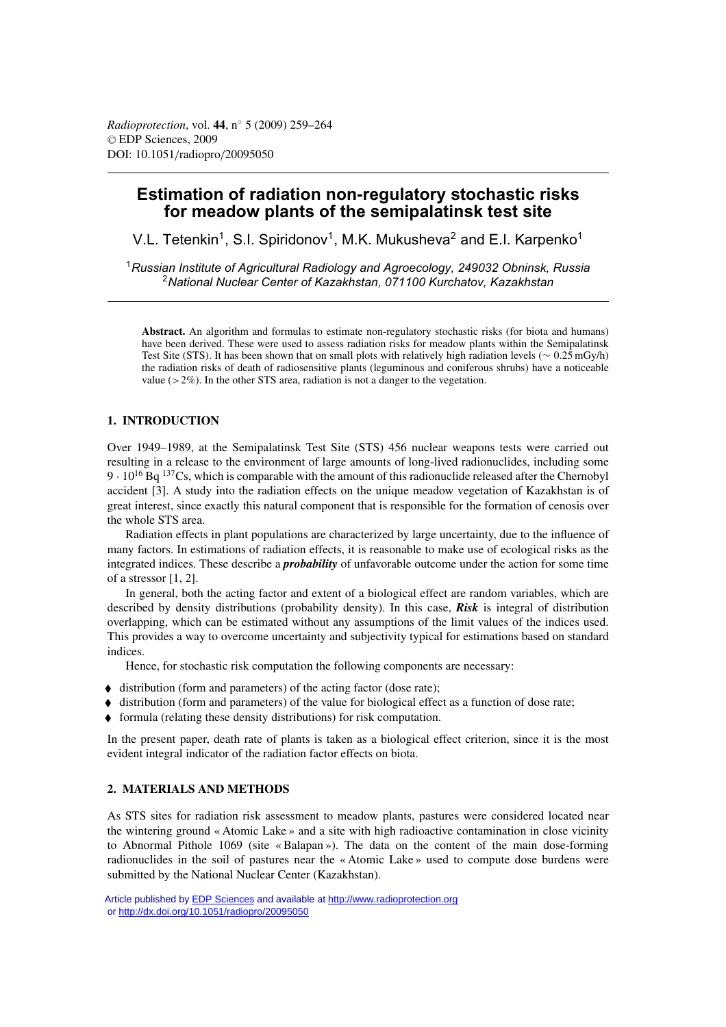# **Estimation of radiation non-regulatory stochastic risks for meadow plants of the semipalatinsk test site**

V.L. Tetenkin<sup>1</sup>, S.I. Spiridonov<sup>1</sup>, M.K. Mukusheva<sup>2</sup> and E.I. Karpenko<sup>1</sup>

<sup>1</sup>*Russian Institute of Agricultural Radiology and Agroecology, 249032 Obninsk, Russia* <sup>2</sup>*National Nuclear Center of Kazakhstan, 071100 Kurchatov, Kazakhstan*

**Abstract.** An algorithm and formulas to estimate non-regulatory stochastic risks (for biota and humans) have been derived. These were used to assess radiation risks for meadow plants within the Semipalatinsk Test Site (STS). It has been shown that on small plots with relatively high radiation levels (∼ 0.25 mGy/h) the radiation risks of death of radiosensitive plants (leguminous and coniferous shrubs) have a noticeable value  $(>2\%)$ . In the other STS area, radiation is not a danger to the vegetation.

# **1. INTRODUCTION**

Over 1949–1989, at the Semipalatinsk Test Site (STS) 456 nuclear weapons tests were carried out resulting in a release to the environment of large amounts of long-lived radionuclides, including some 9  $\cdot$  10<sup>16</sup> Bq <sup>137</sup>Cs, which is comparable with the amount of this radionuclide released after the Chernobyl accident [3]. A study into the radiation effects on the unique meadow vegetation of Kazakhstan is of great interest, since exactly this natural component that is responsible for the formation of cenosis over the whole STS area.

Radiation effects in plant populations are characterized by large uncertainty, due to the influence of many factors. In estimations of radiation effects, it is reasonable to make use of ecological risks as the integrated indices. These describe a *probability* of unfavorable outcome under the action for some time of a stressor [1, 2].

In general, both the acting factor and extent of a biological effect are random variables, which are described by density distributions (probability density). In this case, *Risk* is integral of distribution overlapping, which can be estimated without any assumptions of the limit values of the indices used. This provides a way to overcome uncertainty and subjectivity typical for estimations based on standard indices.

Hence, for stochastic risk computation the following components are necessary:

- $\blacklozenge$  distribution (form and parameters) of the acting factor (dose rate);
- $\bullet$  distribution (form and parameters) of the value for biological effect as a function of dose rate;
- $\blacklozenge$  formula (relating these density distributions) for risk computation.

In the present paper, death rate of plants is taken as a biological effect criterion, since it is the most evident integral indicator of the radiation factor effects on biota.

## **2. MATERIALS AND METHODS**

As STS sites for radiation risk assessment to meadow plants, pastures were considered located near the wintering ground « Atomic Lake » and a site with high radioactive contamination in close vicinity to Abnormal Pithole 1069 (site « Balapan »). The data on the content of the main dose-forming radionuclides in the soil of pastures near the « Atomic Lake » used to compute dose burdens were submitted by the National Nuclear Center (Kazakhstan).

Article published by **EDP Sciences** and available at <http://www.radioprotection.org> or<http://dx.doi.org/10.1051/radiopro/20095050>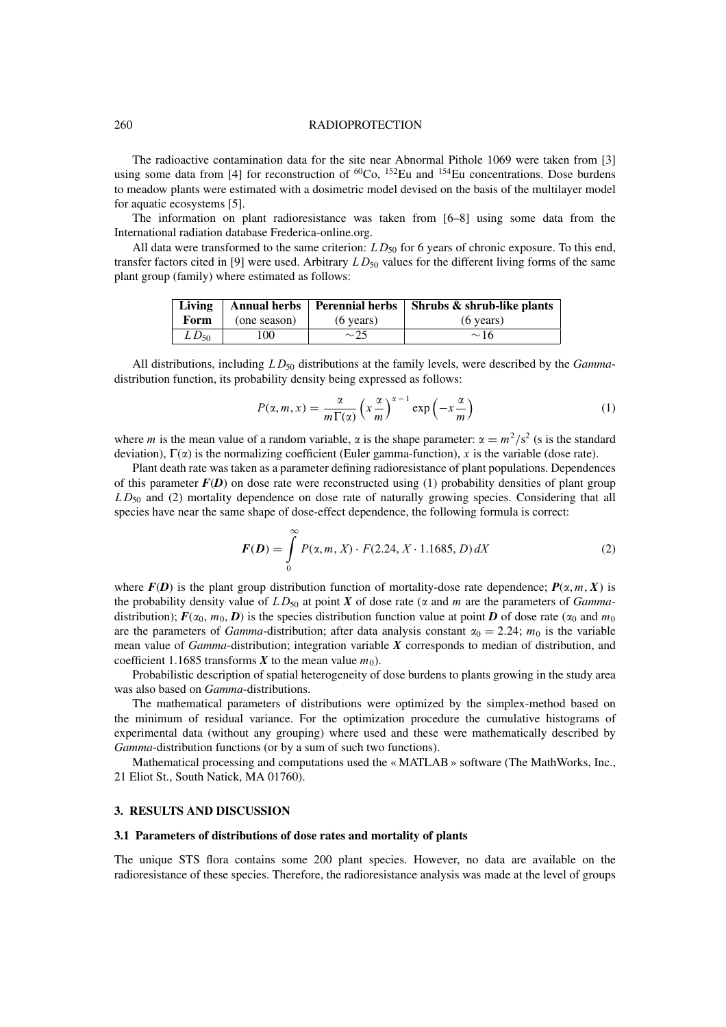#### 260 RADIOPROTECTION

The radioactive contamination data for the site near Abnormal Pithole 1069 were taken from [3] using some data from [4] for reconstruction of  ${}^{60}Co$ ,  ${}^{152}Eu$  and  ${}^{154}Eu$  concentrations. Dose burdens to meadow plants were estimated with a dosimetric model devised on the basis of the multilayer model for aquatic ecosystems [5].

The information on plant radioresistance was taken from [6–8] using some data from the International radiation database Frederica-online.org.

All data were transformed to the same criterion:  $LD_{50}$  for 6 years of chronic exposure. To this end, transfer factors cited in [9] were used. Arbitrary  $LD_{50}$  values for the different living forms of the same plant group (family) where estimated as follows:

|           |              |                     | Living   Annual herbs   Perennial herbs   Shrubs $\&$ shrub-like plants |
|-----------|--------------|---------------------|-------------------------------------------------------------------------|
| Form      | (one season) | $(6 \text{ years})$ | $(6 \text{ years})$                                                     |
| $LD_{50}$ | 100          | $\sim$ 25           | $\sim$ 16                                                               |

All distributions, including  $LD_{50}$  distributions at the family levels, were described by the *Gamma*distribution function, its probability density being expressed as follows:

$$
P(\alpha, m, x) = \frac{\alpha}{m \Gamma(\alpha)} \left( x \frac{\alpha}{m} \right)^{\alpha - 1} \exp\left( -x \frac{\alpha}{m} \right) \tag{1}
$$

where m is the mean value of a random variable,  $\alpha$  is the shape parameter:  $\alpha = m^2/s^2$  (s is the standard deviation),  $\Gamma(\alpha)$  is the normalizing coefficient (Euler gamma-function), x is the variable (dose rate).

Plant death rate was taken as a parameter defining radioresistance of plant populations. Dependences of this parameter  $F(D)$  on dose rate were reconstructed using (1) probability densities of plant group  $LD_{50}$  and (2) mortality dependence on dose rate of naturally growing species. Considering that all species have near the same shape of dose-effect dependence, the following formula is correct:

$$
F(D) = \int_{0}^{\infty} P(\alpha, m, X) \cdot F(2.24, X \cdot 1.1685, D) dX
$$
 (2)

where  $F(D)$  is the plant group distribution function of mortality-dose rate dependence;  $P(\alpha, m, X)$  is the probability density value of  $LD_{50}$  at point *X* of dose rate ( $\alpha$  and m are the parameters of *Gamma*distribution);  $F(\alpha_0, m_0, D)$  is the species distribution function value at point *D* of dose rate ( $\alpha_0$  and  $m_0$ are the parameters of *Gamma*-distribution; after data analysis constant  $\alpha_0 = 2.24$ ;  $m_0$  is the variable mean value of *Gamma*-distribution; integration variable *X* corresponds to median of distribution, and coefficient 1.1685 transforms *X* to the mean value  $m_0$ ).

Probabilistic description of spatial heterogeneity of dose burdens to plants growing in the study area was also based on *Gamma*-distributions.

The mathematical parameters of distributions were optimized by the simplex-method based on the minimum of residual variance. For the optimization procedure the cumulative histograms of experimental data (without any grouping) where used and these were mathematically described by *Gamma*-distribution functions (or by a sum of such two functions).

Mathematical processing and computations used the « MATLAB » software (The MathWorks, Inc., 21 Eliot St., South Natick, MA 01760).

# **3. RESULTS AND DISCUSSION**

## **3.1 Parameters of distributions of dose rates and mortality of plants**

The unique STS flora contains some 200 plant species. However, no data are available on the radioresistance of these species. Therefore, the radioresistance analysis was made at the level of groups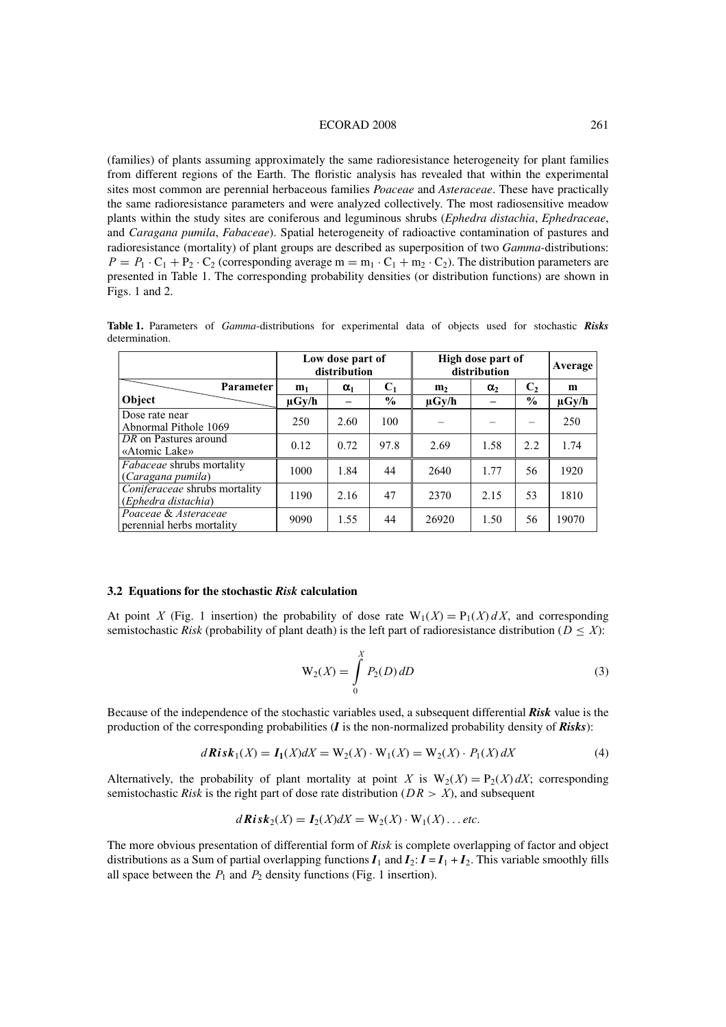#### ECORAD 2008 261

(families) of plants assuming approximately the same radioresistance heterogeneity for plant families from different regions of the Earth. The floristic analysis has revealed that within the experimental sites most common are perennial herbaceous families *Poaceae* and *Asteraceae*. These have practically the same radioresistance parameters and were analyzed collectively. The most radiosensitive meadow plants within the study sites are coniferous and leguminous shrubs (*Ephedra distachia*, *Ephedraceae*, and *Caragana pumila*, *Fabaceae*). Spatial heterogeneity of radioactive contamination of pastures and radioresistance (mortality) of plant groups are described as superposition of two *Gamma*-distributions:  $P = P_1 \cdot C_1 + P_2 \cdot C_2$  (corresponding average m = m<sub>1</sub>  $\cdot C_1 + m_2 \cdot C_2$ ). The distribution parameters are presented in Table 1. The corresponding probability densities (or distribution functions) are shown in Figs. 1 and 2.

**Table 1.** Parameters of *Gamma*-distributions for experimental data of objects used for stochastic *Risks* determination.

|                                                       | Low dose part of<br>distribution |            | High dose part of<br>distribution |                |            | Average        |            |
|-------------------------------------------------------|----------------------------------|------------|-----------------------------------|----------------|------------|----------------|------------|
| <b>Parameter</b>                                      | m <sub>1</sub>                   | $\alpha_1$ | $C_1$                             | m <sub>2</sub> | $\alpha_2$ | C <sub>2</sub> | m          |
| Object                                                | $\mu$ Gy/h                       |            | $\frac{6}{9}$                     | $\mu$ Gy/h     |            | $\frac{6}{6}$  | $\mu$ Gy/h |
| Dose rate near<br>Abnormal Pithole 1069               | 250                              | 2.60       | 100                               |                |            |                | 250        |
| DR on Pastures around<br>«Atomic Lake»                | 0.12                             | 0.72       | 97.8                              | 2.69           | 1.58       | 2.2            | 1.74       |
| <i>Fabaceae</i> shrubs mortality<br>(Caragana pumila) | 1000                             | 1.84       | 44                                | 2640           | 1.77       | 56             | 1920       |
| Coniferaceae shrubs mortality<br>(Ephedra distachia)  | 1190                             | 2.16       | 47                                | 2370           | 2.15       | 53             | 1810       |
| Poaceae & Asteraceae<br>perennial herbs mortality     | 9090                             | 1.55       | 44                                | 26920          | 1.50       | 56             | 19070      |

#### **3.2 Equations for the stochastic** *Risk* **calculation**

At point X (Fig. 1 insertion) the probability of dose rate  $W_1(X) = P_1(X) dX$ , and corresponding semistochastic *Risk* (probability of plant death) is the left part of radioresistance distribution ( $D \leq X$ ):

$$
W_2(X) = \int_{0}^{X} P_2(D) \, dD \tag{3}
$$

Because of the independence of the stochastic variables used, a subsequent differential *Risk* value is the production of the corresponding probabilities (*I* is the non-normalized probability density of *Risks*):

$$
d\mathbf{Risk}_1(X) = I_1(X)dX = W_2(X) \cdot W_1(X) = W_2(X) \cdot P_1(X)dX
$$
\n(4)

Alternatively, the probability of plant mortality at point X is  $W_2(X) = P_2(X) dX$ ; corresponding semistochastic *Risk* is the right part of dose rate distribution ( $DR > X$ ), and subsequent

$$
d\mathbf{Risk}_2(X)=\mathbf{I}_2(X)dX=\mathbf{W}_2(X)\cdot\mathbf{W}_1(X)\ldots etc.
$$

The more obvious presentation of differential form of *Risk* is complete overlapping of factor and object distributions as a Sum of partial overlapping functions  $I_1$  and  $I_2$ :  $I = I_1 + I_2$ . This variable smoothly fills all space between the  $P_1$  and  $P_2$  density functions (Fig. 1 insertion).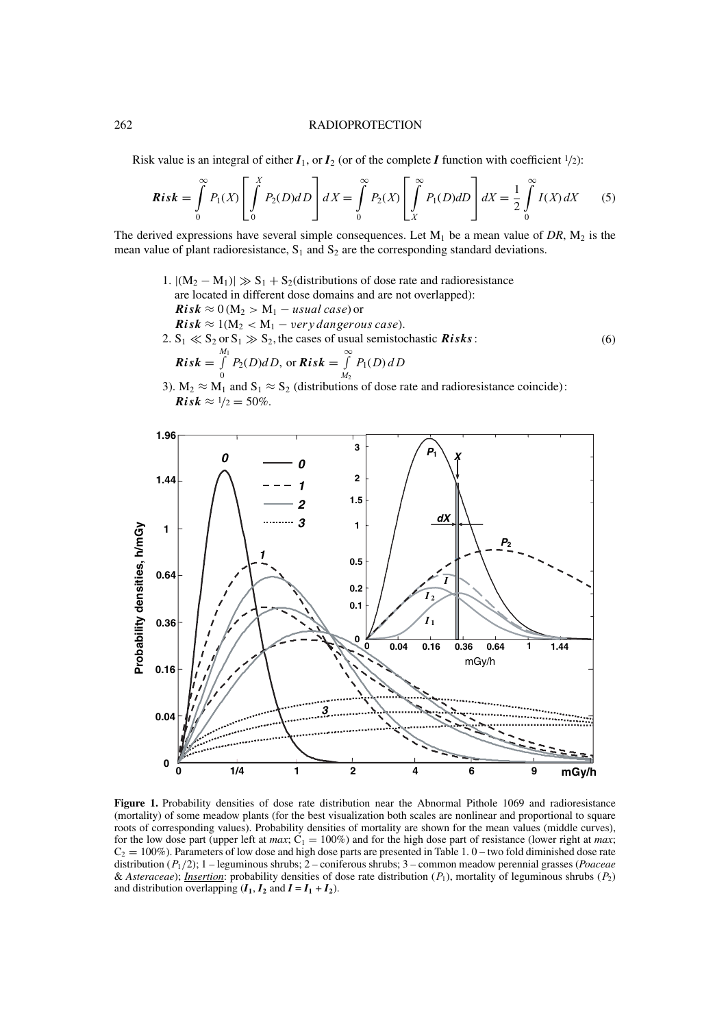#### 262 RADIOPROTECTION

Risk value is an integral of either  $I_1$ , or  $I_2$  (or of the complete *I* function with coefficient  $\frac{1}{2}$ ):

$$
Risk = \int_{0}^{\infty} P_1(X) \left[ \int_{0}^{X} P_2(D) dD \right] dX = \int_{0}^{\infty} P_2(X) \left[ \int_{X}^{\infty} P_1(D) dD \right] dX = \frac{1}{2} \int_{0}^{\infty} I(X) dX \tag{5}
$$

The derived expressions have several simple consequences. Let  $M_1$  be a mean value of DR,  $M_2$  is the mean value of plant radioresistance,  $S_1$  and  $S_2$  are the corresponding standard deviations.

- 1.  $|(M_2 M_1)| \gg S_1 + S_2$  (distributions of dose rate and radioresistance are located in different dose domains and are not overlapped):  $Risk \approx 0$  (M<sub>2</sub> > M<sub>1</sub> − *usual case*) or  $Risk \approx 1(M_2 < M_1 - very\, dangerous\,case).$ 2.  $S_1 \ll S_2$  or  $S_1 \gg S_2$ , the cases of usual semistochastic *Risks*:  $Risk =$  $\int$  $\int\limits_{0}^{M_{1}} P_{2}(D)dD$ , or  $Risk = \int\limits_{M_{2}}^{\infty}$  $M<sub>2</sub>$  $P_1(D)$ dD (6)
- 3).  $M_2 \approx M_1$  and  $S_1 \approx S_2$  (distributions of dose rate and radioresistance coincide): *Risk*  $\approx 1/2 = 50\%$ .



**Figure 1.** Probability densities of dose rate distribution near the Abnormal Pithole 1069 and radioresistance (mortality) of some meadow plants (for the best visualization both scales are nonlinear and proportional to square roots of corresponding values). Probability densities of mortality are shown for the mean values (middle curves), for the low dose part (upper left at *max*;  $C_1 = 100\%$ ) and for the high dose part of resistance (lower right at *max*;  $C_2 = 100\%$ ). Parameters of low dose and high dose parts are presented in Table 1. 0 – two fold diminished dose rate distribution (P1/2); 1 – leguminous shrubs; 2 – coniferous shrubs; 3 – common meadow perennial grasses (*Poaceae* & *Asteraceae*); *Insertion*: probability densities of dose rate distribution  $(P_1)$ , mortality of leguminous shrubs  $(P_2)$ and distribution overlapping  $(I_1, I_2 \text{ and } I = I_1 + I_2)$ .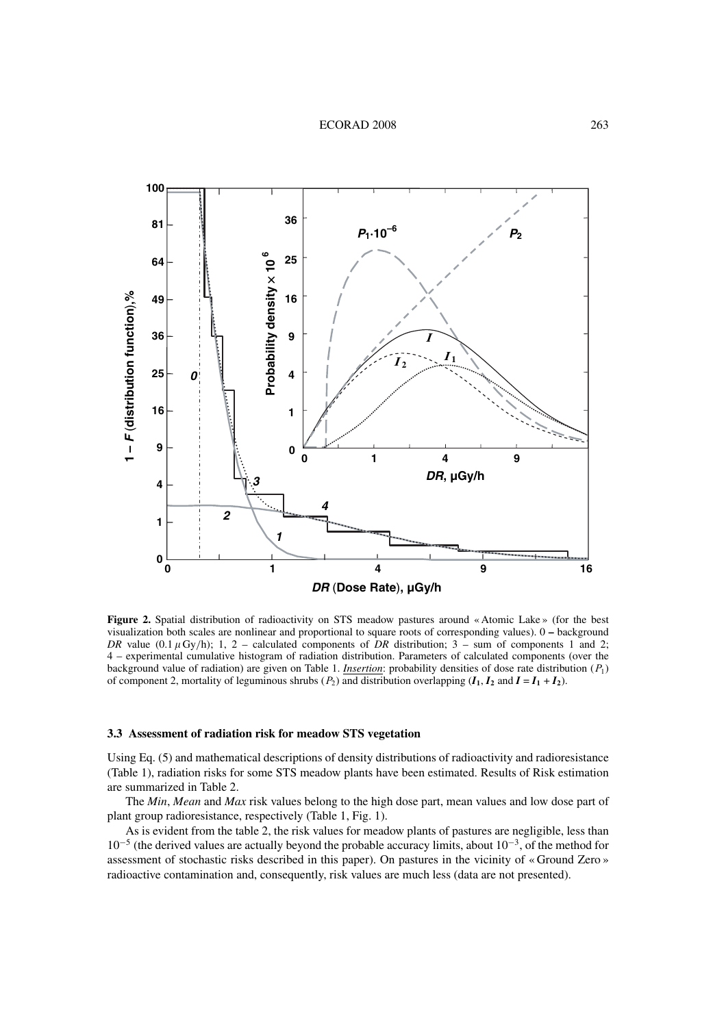

Figure 2. Spatial distribution of radioactivity on STS meadow pastures around « Atomic Lake » (for the best visualization both scales are nonlinear and proportional to square roots of corresponding values). 0 **–** background *DR* value  $(0.1 \mu Gy/h)$ ; 1, 2 – calculated components of *DR* distribution; 3 – sum of components 1 and 2; 4 – experimental cumulative histogram of radiation distribution. Parameters of calculated components (over the background value of radiation) are given on Table 1. *Insertion*: probability densities of dose rate distribution (P1) of component 2, mortality of leguminous shrubs  $(P_2)$  and distribution overlapping  $(I_1, I_2$  and  $I = I_1 + I_2$ .

#### **3.3 Assessment of radiation risk for meadow STS vegetation**

Using Eq. (5) and mathematical descriptions of density distributions of radioactivity and radioresistance (Table 1), radiation risks for some STS meadow plants have been estimated. Results of Risk estimation are summarized in Table 2.

The *Min*, *Mean* and *Max* risk values belong to the high dose part, mean values and low dose part of plant group radioresistance, respectively (Table 1, Fig. 1).

As is evident from the table 2, the risk values for meadow plants of pastures are negligible, less than 10−<sup>5</sup> (the derived values are actually beyond the probable accuracy limits, about 10−3, of the method for assessment of stochastic risks described in this paper). On pastures in the vicinity of « Ground Zero » radioactive contamination and, consequently, risk values are much less (data are not presented).